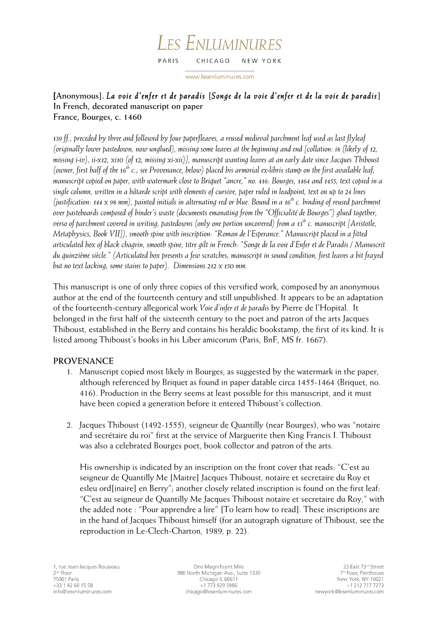#### LES ENLUMINURES PARIS CHICAGO NEW YORK

www.lesenluminures.com

## **[Anonymous].** *La voie d'enfer et de paradis* **[***Songe de la voie d'enfer et de la voie de paradis***] In French, decorated manuscript on paper France, Bourges, c. 1460**

*139 ff., preceded by three and followed by four paperfleaves, a reused medieval parchment leaf used as last flyleaf (originally lower pastedown, now unglued), missing some leaves at the beginning and end [collation: i8 (likely of 12, missing i-iv), ii-x12, xi10 (of 12, missing xi-xii)], manuscript wanting leaves at an early date since Jacques Thiboust (owner, first half of the 16th c.; see Provenance, below) placed his armorial ex-libris stamp on the first available leaf, manuscript copied on paper, with watermark close to Briquet "ancre," no. 416: Bourges, 1464 and 1455, text copied in a single column, written in a bâtarde script with elements of cursive, paper ruled in leadpoint, text on up to 24 lines (justification: 144 x 98 mm), painted initials in alternating red or blue. Bound in a 16th c. binding of reused parchment over pasteboards composed of binder's waste (documents emanating from the "Officialité de Bourges") glued together, verso of parchment covered in writing, pastedowns (only one portion uncovered) from a 13<sup>th</sup> c. manuscript [Aristotle, Metaphysics, Book VII]), smooth spine with inscription: "Roman de l'Esperance." Manuscript placed in a fitted articulated box of black chagrin, smooth spine, titre gilt in French: "Songe de la voie d'Enfer et de Paradis / Manuscrit du quinzième siècle." (Articulated box presents a few scratches; manuscript in sound condition, first leaves a bit frayed but no text lacking; some stains to paper). Dimensions 212 x 150 mm.*

This manuscript is one of only three copies of this versified work, composed by an anonymous author at the end of the fourteenth century and still unpublished. It appears to be an adaptation of the fourteenth-century allegorical work *Voie d'infer et de paradis* by Pierre de l'Hopital. It belonged in the first half of the sixteenth century to the poet and patron of the arts Jacques Thiboust, established in the Berry and contains his heraldic bookstamp, the first of its kind. It is listed among Thiboust's books in his Liber amicorum (Paris, BnF, MS fr. 1667).

# **PROVENANCE**

- 1. Manuscript copied most likely in Bourges, as suggested by the watermark in the paper, although referenced by Briquet as found in paper datable circa 1455-1464 (Briquet, no. 416). Production in the Berry seems at least possible for this manuscript, and it must have been copied a generation before it entered Thiboust's collection.
- 2. Jacques Thiboust (1492-1555), seigneur de Quantilly (near Bourges), who was "notaire and secrétaire du roi" first at the service of Marguerite then King Francis I. Thiboust was also a celebrated Bourges poet, book collector and patron of the arts.

His ownership is indicated by an inscription on the front cover that reads: "C'est au seigneur de Quantilly Me [Maitre] Jacques Thiboust, notaire et secretaire du Roy et esleu ord[inaire] en Berry"; another closely related inscription is found on the first leaf: "C'est au seigneur de Quantilly Me Jacques Thiboust notaire et secretaire du Roy," with the added note : "Pour apprendre a lire" [To learn how to read]. These inscriptions are in the hand of Jacques Thiboust himself (for an autograph signature of Thiboust, see the reproduction in Le-Clech-Charton, 1989, p. 22).

One Magnificent Mile 980 North Michigan Ave., Suite 1330 Chicago IL 60611 +1 773 929 5986 chicago@lesenluminures.com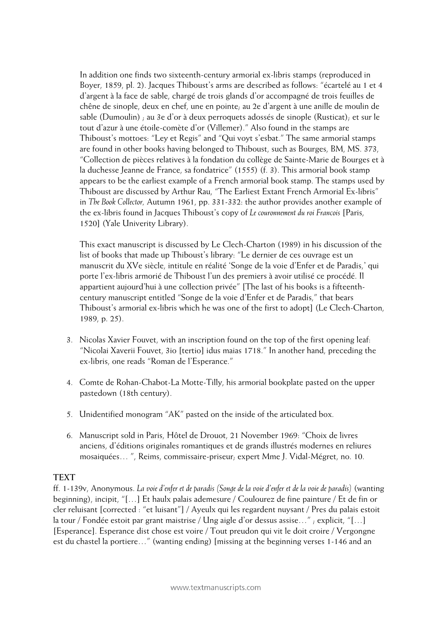In addition one finds two sixteenth-century armorial ex-libris stamps (reproduced in Boyer, 1859, pl. 2). Jacques Thiboust's arms are described as follows: "écartelé au 1 et 4 d'argent à la face de sable, chargé de trois glands d'or accompagné de trois feuilles de chêne de sinople, deux en chef, une en pointe; au 2e d'argent à une anille de moulin de sable (Dumoulin) ; au 3e d'or à deux perroquets adossés de sinople (Rusticat); et sur le tout d'azur à une étoile-comète d'or (Villemer)." Also found in the stamps are Thiboust's mottoes: "Ley et Regis" and "Qui voyt s'esbat." The same armorial stamps are found in other books having belonged to Thiboust, such as Bourges, BM, MS. 373, "Collection de pièces relatives à la fondation du collège de Sainte-Marie de Bourges et à la duchesse Jeanne de France, sa fondatrice" (1555) (f. 3). This armorial book stamp appears to be the earliest example of a French armorial book stamp. The stamps used by Thiboust are discussed by Arthur Rau, "The Earliest Extant French Armorial Ex-libris" in *The Book Collector,* Autumn 1961, pp. 331-332: the author provides another example of the ex-libris found in Jacques Thiboust's copy of *Le couronnement du roi Francois* [Paris, 1520] (Yale Univerity Library).

This exact manuscript is discussed by Le Clech-Charton (1989) in his discussion of the list of books that made up Thiboust's library: "Le dernier de ces ouvrage est un manuscrit du XVe siècle, intitule en réalité 'Songe de la voie d'Enfer et de Paradis,' qui porte l'ex-libris armorié de Thiboust l'un des premiers à avoir utilisé ce procédé. Il appartient aujourd'hui à une collection privée" [The last of his books is a fifteenthcentury manuscript entitled "Songe de la voie d'Enfer et de Paradis," that bears Thiboust's armorial ex-libris which he was one of the first to adopt] (Le Clech-Charton, 1989, p. 25).

- 3. Nicolas Xavier Fouvet, with an inscription found on the top of the first opening leaf: "Nicolai Xaverii Fouvet, 3io [tertio] idus maias 1718." In another hand, preceding the ex-libris, one reads "Roman de l'Esperance."
- 4. Comte de Rohan-Chabot-La Motte-Tilly, his armorial bookplate pasted on the upper pastedown (18th century).
- 5. Unidentified monogram "AK" pasted on the inside of the articulated box.
- 6. Manuscript sold in Paris, Hôtel de Drouot, 21 November 1969: "Choix de livres anciens, d'éditions originales romantiques et de grands illustrés modernes en reliures mosaiquées… ", Reims, commissaire-priseur; expert Mme J. Vidal-Mégret, no. 10.

### **TEXT**

ff. 1-139v, Anonymous. *La voie d'enfer et de paradis (Songe de la voie d'enfer et de la voie de paradis)* (wanting beginning), incipit, "[…] Et haulx palais ademesure / Coulourez de fine painture / Et de fin or cler reluisant [corrected : "et luisant"] / Ayeulx qui les regardent nuysant / Pres du palais estoit la tour / Fondée estoit par grant maistrise / Ung aigle d'or dessus assise…" ; explicit, "[…] [Esperance]. Esperance dist chose est voire / Tout preudon qui vit le doit croire / Vergongne est du chastel la portiere…" (wanting ending) [missing at the beginning verses 1-146 and an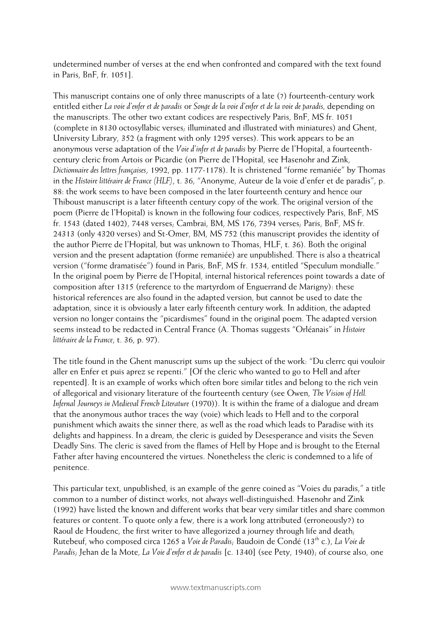undetermined number of verses at the end when confronted and compared with the text found in Paris, BnF, fr. 1051].

This manuscript contains one of only three manuscripts of a late (?) fourteenth-century work entitled either *La voie d'enfer et de paradis* or *Songe de la voie d'enfer et de la voie de paradis,* depending on the manuscripts. The other two extant codices are respectively Paris, BnF, MS fr. 1051 (complete in 8130 octosyllabic verses; illuminated and illustrated with miniatures) and Ghent, University Library, 352 (a fragment with only 1295 verses). This work appears to be an anonymous verse adaptation of the *Voie d'infer et de paradis* by Pierre de l'Hopital, a fourteenthcentury cleric from Artois or Picardie (on Pierre de l'Hopital, see Hasenohr and Zink, *Dictionnaire des lettres françaises*, 1992, pp. 1177-1178). It is christened "forme remaniée" by Thomas in the *Histoire littéraire de France (HLF)*, t. 36, "Anonyme, Auteur de la voie d'enfer et de paradis", p. 88: the work seems to have been composed in the later fourteenth century and hence our Thiboust manuscript is a later fifteenth century copy of the work. The original version of the poem (Pierre de l'Hopital) is known in the following four codices, respectively Paris, BnF, MS fr. 1543 (dated 1402), 7448 verses; Cambrai, BM, MS 176, 7394 verses; Paris, BnF, MS fr. 24313 (only 4320 verses) and St-Omer, BM, MS 752 (this manuscript provides the identity of the author Pierre de l'Hopital, but was unknown to Thomas, HLF, t. 36). Both the original version and the present adaptation (forme remaniée) are unpublished. There is also a theatrical version ("forme dramatisée") found in Paris, BnF, MS fr. 1534, entitled "Speculum mondialle." In the original poem by Pierre de l'Hopital, internal historical references point towards a date of composition after 1315 (reference to the martyrdom of Enguerrand de Marigny): these historical references are also found in the adapted version, but cannot be used to date the adaptation, since it is obviously a later early fifteenth century work. In addition, the adapted version no longer contains the "picardismes" found in the original poem. The adapted version seems instead to be redacted in Central France (A. Thomas suggests "Orléanais" in *Histoire littéraire de la France*, t. 36, p. 97).

The title found in the Ghent manuscript sums up the subject of the work: "Du clerrc qui vouloir aller en Enfer et puis aprez se repenti." [Of the cleric who wanted to go to Hell and after repented]. It is an example of works which often bore similar titles and belong to the rich vein of allegorical and visionary literature of the fourteenth century (see Owen, *The Vision of Hell. Infernal Journeys in Medieval French Literature* (1970)). It is within the frame of a dialogue and dream that the anonymous author traces the way (voie) which leads to Hell and to the corporal punishment which awaits the sinner there, as well as the road which leads to Paradise with its delights and happiness. In a dream, the cleric is guided by Desesperance and visits the Seven Deadly Sins. The cleric is saved from the flames of Hell by Hope and is brought to the Eternal Father after having encountered the virtues. Nonetheless the cleric is condemned to a life of penitence.

This particular text, unpublished, is an example of the genre coined as "Voies du paradis," a title common to a number of distinct works, not always well-distinguished. Hasenohr and Zink (1992) have listed the known and different works that bear very similar titles and share common features or content. To quote only a few, there is a work long attributed (erroneously?) to Raoul de Houdenc, the first writer to have allegorized a journey through life and death; Rutebeuf, who composed circa 1265 a *Voie de Paradis*; Baudoin de Condé (13th c.), *La Voie de Paradis*; Jehan de la Mote, *La Voie d'enfer et de paradis* [c. 1340] (see Pety, 1940); of course also, one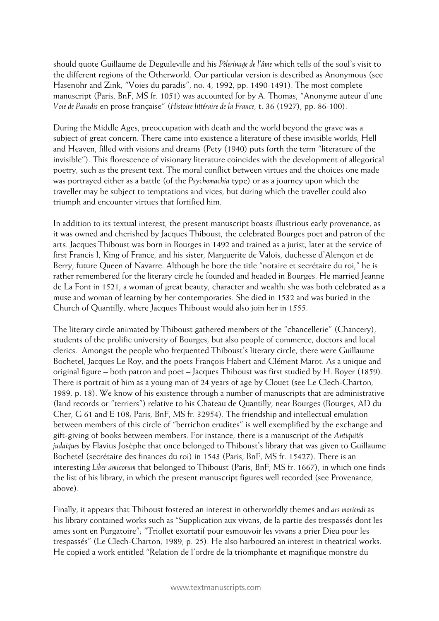should quote Guillaume de Deguileville and his *Pèlerinage de l'âme* which tells of the soul's visit to the different regions of the Otherworld. Our particular version is described as Anonymous (see Hasenohr and Zink, "Voies du paradis", no. 4, 1992, pp. 1490-1491). The most complete manuscript (Paris, BnF, MS fr. 1051) was accounted for by A. Thomas, "Anonyme auteur d'une *Voie de Paradis* en prose française" (*Histoire littéraire de la France*, t. 36 (1927), pp. 86-100).

During the Middle Ages, preoccupation with death and the world beyond the grave was a subject of great concern. There came into existence a literature of these invisible worlds, Hell and Heaven, filled with visions and dreams (Pety (1940) puts forth the term "literature of the invisible"). This florescence of visionary literature coincides with the development of allegorical poetry, such as the present text. The moral conflict between virtues and the choices one made was portrayed either as a battle (of the *Psychomachia* type) or as a journey upon which the traveller may be subject to temptations and vices, but during which the traveller could also triumph and encounter virtues that fortified him.

In addition to its textual interest, the present manuscript boasts illustrious early provenance, as it was owned and cherished by Jacques Thiboust, the celebrated Bourges poet and patron of the arts. Jacques Thiboust was born in Bourges in 1492 and trained as a jurist, later at the service of first Francis I, King of France, and his sister, Marguerite de Valois, duchesse d'Alençon et de Berry, future Queen of Navarre. Although he bore the title "notaire et secrétaire du roi," he is rather remembered for the literary circle he founded and headed in Bourges. He married Jeanne de La Font in 1521, a woman of great beauty, character and wealth: she was both celebrated as a muse and woman of learning by her contemporaries. She died in 1532 and was buried in the Church of Quantilly, where Jacques Thiboust would also join her in 1555.

The literary circle animated by Thiboust gathered members of the "chancellerie" (Chancery), students of the prolific university of Bourges, but also people of commerce, doctors and local clerics. Amongst the people who frequented Thiboust's literary circle, there were Guillaume Bochetel, Jacques Le Roy, and the poets François Habert and Clément Marot. As a unique and original figure – both patron and poet – Jacques Thiboust was first studied by H. Boyer (1859). There is portrait of him as a young man of 24 years of age by Clouet (see Le Clech-Charton, 1989, p. 18). We know of his existence through a number of manuscripts that are administrative (land records or "terriers") relative to his Chateau de Quantilly, near Bourges (Bourges, AD du Cher, G 61 and E 108; Paris, BnF, MS fr. 32954). The friendship and intellectual emulation between members of this circle of "berrichon erudites" is well exemplified by the exchange and gift-giving of books between members. For instance, there is a manuscript of the *Antiquités judaiques* by Flavius Josèphe that once belonged to Thiboust's library that was given to Guillaume Bochetel (secrétaire des finances du roi) in 1543 (Paris, BnF, MS fr. 15427). There is an interesting *Liber amicorum* that belonged to Thiboust (Paris, BnF, MS fr. 1667), in which one finds the list of his library, in which the present manuscript figures well recorded (see Provenance, above).

Finally, it appears that Thiboust fostered an interest in otherworldly themes and *ars moriendi* as his library contained works such as "Supplication aux vivans, de la partie des trespassés dont les ames sont en Purgatoire"; "Triollet exortatif pour esmouvoir les vivans a prier Dieu pour les trespassés" (Le Clech-Charton, 1989, p. 25). He also harboured an interest in theatrical works. He copied a work entitled "Relation de l'ordre de la triomphante et magnifique monstre du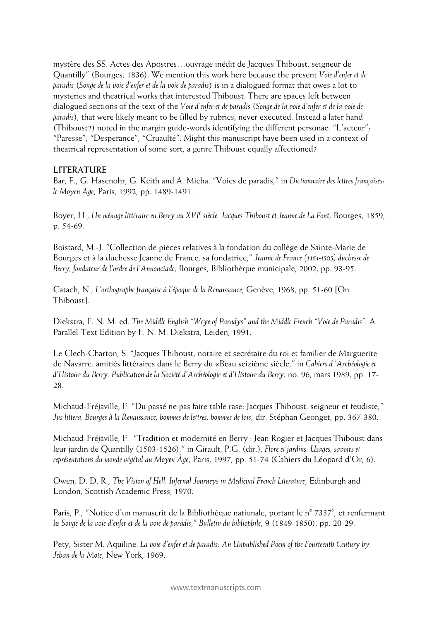mystère des SS. Actes des Apostres…ouvrage inédit de Jacques Thiboust, seigneur de Quantilly" (Bourges, 1836). We mention this work here because the present *Voie d'enfer et de paradis* (*Songe de la voie d'enfer et de la voie de paradis*) is in a dialogued format that owes a lot to mysteries and theatrical works that interested Thiboust. There are spaces left between dialogued sections of the text of the *Voie d'enfer et de paradis* (*Songe de la voie d'enfer et de la voie de paradis*), that were likely meant to be filled by rubrics, never executed. Instead a later hand (Thiboust?) noted in the margin guide-words identifying the different personae: "L'acteur"; "Paresse"; "Desperance"; "Cruaulté". Might this manuscript have been used in a context of theatrical representation of some sort, a genre Thiboust equally affectioned?

#### **LITERATURE**

Bar, F., G. Hasenohr, G. Keith and A. Micha. "Voies de paradis," in *Dictionnaire des lettres françaises: le Moyen Age*, Paris, 1992, pp. 1489-1491.

Boyer, H., *Un ménage littéraire en Berry au XVIe siècle. Jacques Thiboust et Jeanne de La Font*, Bourges, 1859, p. 54-69.

Boistard, M.-J. "Collection de pièces relatives à la fondation du collège de Sainte-Marie de Bourges et à la duchesse Jeanne de France, sa fondatrice," *Jeanne de France (1464-1505) duchesse de Berry, fondateur de l'ordre de l'Annonciade*, Bourges, Bibliothèque municipale, 2002, pp. 93-95.

Catach, N., *L'orthographe française à l'époque de la Renaissance*, Genève, 1968, pp. 51-60 [On Thiboust].

Diekstra, F. N. M. ed. *The Middle English "Weye of Paradys" and the Middle French "Voie de Paradis":* A Parallel-Text Edition by F. N. M. Diekstra, Leiden, 1991.

Le Clech-Charton, S. "Jacques Thiboust, notaire et secrétaire du roi et familier de Marguerite de Navarre: amitiés littéraires dans le Berry du «Beau seizième siècle," in *Cahiers d 'Archéologie et d'Histoire du Berry. Publication de la Société d'Archéologie et d'Histoire du Berry,* no. 96, mars 1989, pp. 17- 28.

Michaud-Fréjaville, F. "Du passé ne pas faire table rase: Jacques Thiboust, seigneur et feudiste," *Jus littera. Bourges à la Renaissance, hommes de lettres, hommes de lois*, dir. Stéphan Geonget, pp. 367-380.

Michaud-Fréjaville, F. "Tradition et modernité en Berry : Jean Rogier et Jacques Thiboust dans leur jardin de Quantilly (1503-1526)," in Girault, P.G. (dir.), *Flore et jardins. Usages, savoirs et représentations du monde végétal au Moyen Âge*, Paris, 1997, pp. 51-74 (Cahiers du Léopard d'Or, 6).

Owen, D. D. R., *The Vision of Hell: Infernal Journeys in Medieval French Literature*, Edinburgh and London, Scottish Academic Press, 1970.

Paris, P., "Notice d'un manuscrit de la Bibliothèque nationale, portant le n° 7337<sup>5</sup>, et renfermant le *Songe de la voie d'enfer et de la voie de paradis*," *Bulletin du bibliophile*, 9 (1849-1850), pp. 20-29.

Pety, Sister M. Aquiline. *La voie d'enfer et de paradis: An Unpublished Poem of the Fourteenth Century by Jehan de la Mote*, New York, 1969.